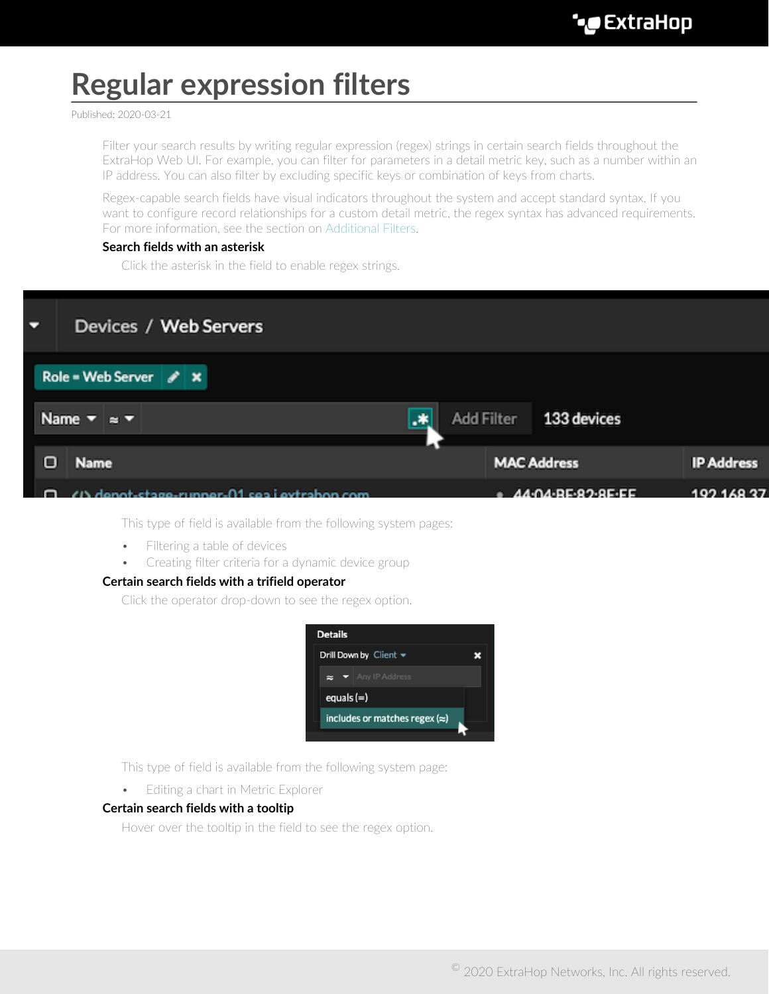# **Regular expression filters**

Published: 2020-03-21

Filter your search results by writing regular expression (regex) strings in certain search fields throughout the ExtraHop Web UI. For example, you can filter for parameters in a detail metric key, such as a number within an IP address. You can also filter by excluding specific keys or combination of keys from charts.

Regex-capable search fields have visual indicators throughout the system and accept standard syntax. If you want to configure record relationships for a custom detail metric, the regex syntax has advanced requirements. For more information, see the section on [Additional Filters](#page-2-0).

## **Search fields with an asterisk**

Click the asterisk in the field to enable regex strings.



This type of field is available from the following system pages:

- Filtering a table of devices
- Creating filter criteria for a dynamic device group

### **Certain search fields with a trifield operator**

Click the operator drop-down to see the regex option.



This type of field is available from the following system page:

• Editing a chart in Metric Explorer

### **Certain search fields with a tooltip**

Hover over the tooltip in the field to see the regex option.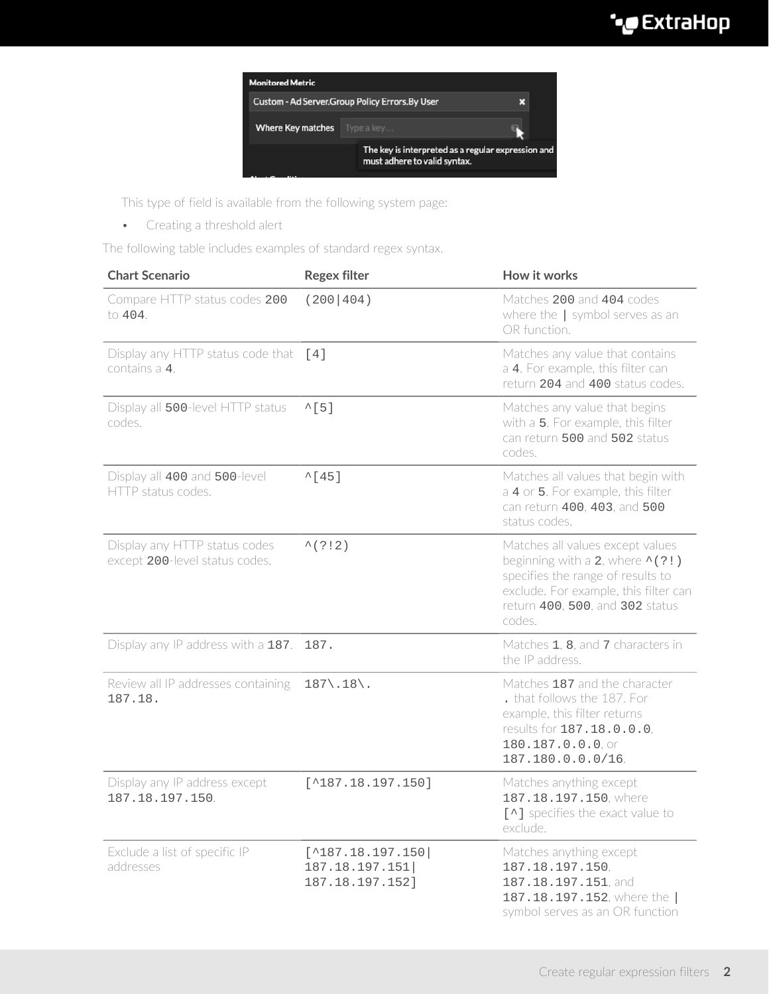# ExtraHop **@-**



This type of field is available from the following system page:

• Creating a threshold alert

The following table includes examples of standard regex syntax.

| <b>Chart Scenario</b>                                           | <b>Regex filter</b>                                              | How it works                                                                                                                                                                                           |
|-----------------------------------------------------------------|------------------------------------------------------------------|--------------------------------------------------------------------------------------------------------------------------------------------------------------------------------------------------------|
| Compare HTTP status codes 200<br>to $404$ .                     | (200 404)                                                        | Matches 200 and 404 codes<br>where the $ $ symbol serves as an<br>OR function.                                                                                                                         |
| Display any HTTP status code that [4]<br>contains a 4.          |                                                                  | Matches any value that contains<br>a 4. For example, this filter can<br>return 204 and 400 status codes.                                                                                               |
| Display all 500-level HTTP status<br>codes.                     | $^{\wedge}$ [5]                                                  | Matches any value that begins<br>with a 5. For example, this filter<br>can return 500 and 502 status<br>codes.                                                                                         |
| Display all 400 and 500-level<br>HTTP status codes.             | $^{\sim}$ [45]                                                   | Matches all values that begin with<br>a 4 or 5. For example, this filter<br>can return 400, 403, and 500<br>status codes.                                                                              |
| Display any HTTP status codes<br>except 200-level status codes. | $^{\wedge}$ (?!2)                                                | Matches all values except values<br>beginning with a 2, where $\wedge$ (?!)<br>specifies the range of results to<br>exclude. For example, this filter can<br>return 400, 500, and 302 status<br>codes. |
| Display any IP address with a 187.                              | 187.                                                             | Matches 1, 8, and 7 characters in<br>the IP address.                                                                                                                                                   |
| Review all IP addresses containing<br>187.18.                   | $187 \backslash .18 \backslash .$                                | Matches 187 and the character<br>. that follows the 187. For<br>example, this filter returns<br>results for 187.18.0.0.0,<br>180.187.0.0.0, or<br>187.180.0.0.0/16.                                    |
| Display any IP address except<br>187.18.197.150.                | $[^{\wedge}187.18.197.150]$                                      | Matches anything except<br>187.18.197.150, where<br>[^] specifies the exact value to<br>exclude.                                                                                                       |
| Exclude a list of specific IP<br>addresses                      | $[^{\wedge}187.18.197.150]$<br>187.18.197.151<br>187.18.197.152] | Matches anything except<br>187.18.197.150,<br>187.18.197.151, and<br>187.18.197.152, where the<br>symbol serves as an OR function                                                                      |